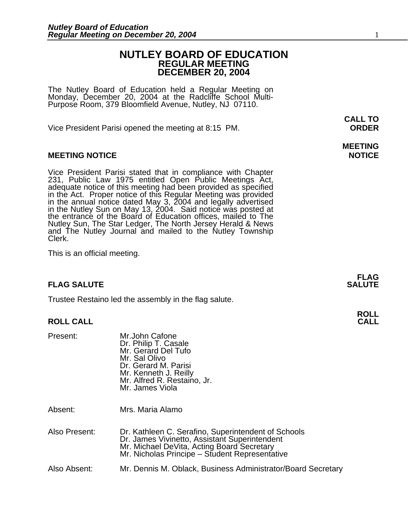### **NUTLEY BOARD OF EDUCATION REGULAR MEETING DECEMBER 20, 2004**

The Nutley Board of Education held a Regular Meeting on Monday, December 20, 2004 at the Radcliffe School Multi-Purpose Room, 379 Bloomfield Avenue, Nutley, NJ 07110.

Vice President Parisi opened the meeting at 8:15 PM. **ORDER**

### **MEETING NOTICE NOTICE**

Vice President Parisi stated that in compliance with Chapter<br>231, Public Law 1975 entitled Open Public Meetings Act,<br>adequate notice of this meeting had been provided as specified in the Act. Proper notice of this Regular Meeting was provided<br>in the annual notice dated May 3, 2004 and legally advertised<br>in the Nutley Sun on May 13, 2004. Said notice was posted at<br>the entrance of the Board of Educati Nutley Sun, The Star Ledger, The North Jersey Herald & News<br>and The Nutley Journal and mailed to the Nutley Township<br>Clerk.

This is an official meeting.

### **FLAG SALUTE SALUTE SALUTE**

Trustee Restaino led the assembly in the flag salute.

#### **ROLL CALL**

| Present: | Mr.John Cafone<br>Dr. Philip T. Casale<br>Mr. Gerard Del Tufo<br>Mr. Sal Olivo<br>Dr. Gerard M. Parisi<br>Mr. Kenneth J. Reilly |
|----------|---------------------------------------------------------------------------------------------------------------------------------|
|          | Mr. Alfred R. Restaino, Jr.<br>Mr. James Viola                                                                                  |
|          |                                                                                                                                 |

Absent: Mrs. Maria Alamo

| Also Present: | Dr. Kathleen C. Serafino, Superintendent of Schools<br>Dr. James Vivinetto, Assistant Superintendent<br>Mr. Michael DeVita, Acting Board Secretary<br>Mr. Nicholas Principe - Student Representative |  |
|---------------|------------------------------------------------------------------------------------------------------------------------------------------------------------------------------------------------------|--|
|               |                                                                                                                                                                                                      |  |

Also Absent: Mr. Dennis M. Oblack, Business Administrator/Board Secretary

**CALL TO** 

# **MEETING**

**FLAG** 

**ROLL**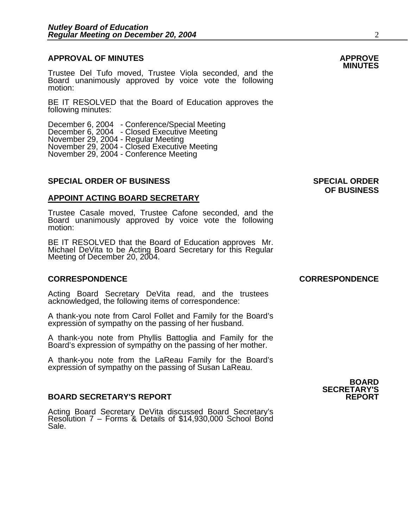# **APPROVAL OF MINUTES APPROVE**

**MINUTES** Trustee Del Tufo moved, Trustee Viola seconded, and the Board unanimously approved by voice vote the following motion:

BE IT RESOLVED that the Board of Education approves the following minutes:

December 6, 2004 - Conference/Special Meeting December 6, 2004 - Closed Executive Meeting November 29, 2004 - Regular Meeting November 29, 2004 - Closed Executive Meeting November 29, 2004 - Conference Meeting

### **SPECIAL ORDER OF BUSINESS SPECIAL ORDER**

#### **APPOINT ACTING BOARD SECRETARY**

Trustee Casale moved, Trustee Cafone seconded, and the Board unanimously approved by voice vote the following motion:

BE IT RESOLVED that the Board of Education approves Mr. Michael DeVita to be Acting Board Secretary for this Regular Meeting of December 20, 2004.

### **CORRESPONDENCE CORRESPONDENCE**

Acting Board Secretary DeVita read, and the trustees acknowledged, the following items of correspondence:

A thank-you note from Carol Follet and Family for the Board's expression of sympathy on the passing of her husband.

A thank-you note from Phyllis Battoglia and Family for the Board's expression of sympathy on the passing of her mother.

A thank-you note from the LaReau Family for the Board's expression of sympathy on the passing of Susan LaReau.

#### **BOARD SECRETARY'S REPORT**

Acting Board Secretary DeVita discussed Board Secretary's Resolution 7 – Forms & Details of \$14,930,000 School Bond Sale.

**OF BUSINESS** 

**BOARD SECRETARY'S**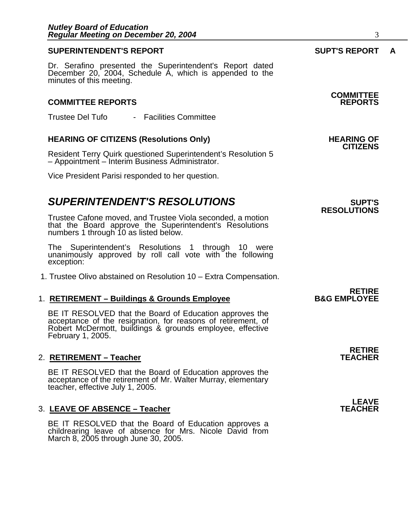### **SUPERINTENDENT'S REPORT SUPT'S REPORT A**

Dr. Serafino presented the Superintendent's Report dated December 20, 2004, Schedule A, which is appended to the minutes of this meeting.

### **COMMITTEE REPORTS REPORTS**

Trustee Del Tufo - Facilities Committee

# **HEARING OF CITIZENS (Resolutions Only) HEARING OF CITIZENS**

Resident Terry Quirk questioned Superintendent's Resolution 5 – Appointment – Interim Business Administrator.

Vice President Parisi responded to her question.

# **SUPERINTENDENT'S RESOLUTIONS** *SUPERINTENDENT'S*

Trustee Cafone moved, and Trustee Viola seconded, a motion that the Board approve the Superintendent's Resolutions numbers 1 through 10 as listed below.

The Superintendent's Resolutions 1 through 10 were unanimously approved by roll call vote with the following exception:

1. Trustee Olivo abstained on Resolution 10 – Extra Compensation.

# **RETIRE**  1. **RETIREMENT – Buildings & Grounds Employee B&G EMPLOYEE**

BE IT RESOLVED that the Board of Education approves the acceptance of the resignation, for reasons of retirement, of Robert McDermott, buildings & grounds employee, effective February 1, 2005.

#### 2. RETIREMENT - Teacher

BE IT RESOLVED that the Board of Education approves the acceptance of the retirement of Mr. Walter Murray, elementary teacher, effective July 1, 2005.

#### 3. LEAVE OF ABSENCE - Teacher

BE IT RESOLVED that the Board of Education approves a childrearing leave of absence for Mrs. Nicole David from March 8, 2005 through June 30, 2005.

**RESOLUTIONS** 

**RETIRE** 

**LEAVE**<br>TEACHER

# **COMMITTEE**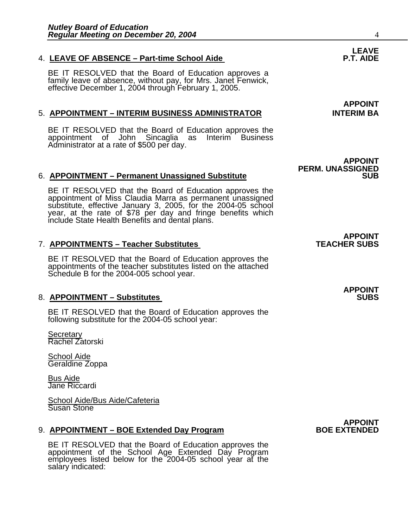## 4. LEAVE OF ABSENCE - Part-time School Aide

BE IT RESOLVED that the Board of Education approves a family leave of absence, without pay, for Mrs. Janet Fenwick, effective December 1, 2004 through February 1, 2005.

## 5. **APPOINTMENT – INTERIM BUSINESS ADMINISTRATOR INTERIM BA**

BE IT RESOLVED that the Board of Education approves the appointment of John Sincaglia as Interim Business Administrator at a rate of \$500 per day.

## 6. **APPOINTMENT – Permanent Unassigned Substitute** SUB **SUB**

BE IT RESOLVED that the Board of Education approves the appointment of Miss Claudia Marra as permanent unassigned substitute, effective January 3, 2005, for the 2004-05 school year, at the rate of \$78 per day and fringe be

## **7. APPOINTMENTS – Teacher Substitutes**

BE IT RESOLVED that the Board of Education approves the appointments of the teacher substitutes listed on the attached Schedule B for the 2004-005 school year.

## 8. **APPOINTMENT – Substitutes**

BE IT RESOLVED that the Board of Education approves the following substitute for the 2004-05 school year:

Secretary Rachel Zatorski

School Aide Geraldine Zoppa

Bus Aide Jane Riccardi

School Aide/Bus Aide/Cafeteria Susan Stone

## 9. **APPOINTMENT – BOE Extended Day Program**

BE IT RESOLVED that the Board of Education approves the appointment of the School Age Extended Day Program employees listed below for the 2004-05 school year at the salary indicated:

**LEAVE**<br>P.T. AIDE

**APPOINT**

**APPOINT PERM. UNASSIGNED** 

# **APPOINT<br>TEACHER SUBS**

# **APPOINT**

# **APPOINT<br>BOE EXTENDED**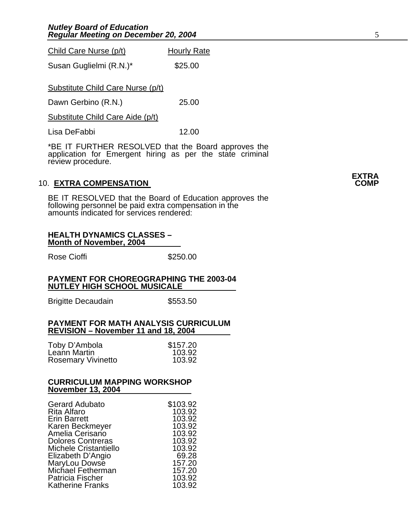Child Care Nurse (p/t) Hourly Rate

Susan Guglielmi (R.N.)\* \$25.00

Substitute Child Care Nurse (p/t)

Dawn Gerbino (R.N.) 25.00

Substitute Child Care Aide (p/t)

Lisa DeFabbi 12.00

\*BE IT FURTHER RESOLVED that the Board approves the application for Emergent hiring as per the state criminal review procedure.

### **10. EXTRA COMPENSATION**

BE IT RESOLVED that the Board of Education approves the following personnel be paid extra compensation in the amounts indicated for services rendered:

#### **HEALTH DYNAMICS CLASSES – Month of November, 2004**

Rose Cioffi **\$250.00** 

#### **PAYMENT FOR CHOREOGRAPHING THE 2003-04 NUTLEY HIGH SCHOOL MUSICALE**

Brigitte Decaudain \$553.50

#### **PAYMENT FOR MATH ANALYSIS CURRICULUM REVISION – November 11 and 18, 2004**

| Toby D'Ambola             | \$157.20 |
|---------------------------|----------|
| Leann Martin              | 103.92   |
| <b>Rosemary Vivinetto</b> | 103.92   |

#### **CURRICULUM MAPPING WORKSHOP November 13, 2004**

| <b>Gerard Adubato</b>        | \$103.92 |
|------------------------------|----------|
| <b>Rita Alfaro</b>           | 103.92   |
| <b>Erin Barrett</b>          | 103.92   |
| Karen Beckmeyer              | 103.92   |
| Amelia Cerisano              | 103.92   |
| <b>Dolores Contreras</b>     | 103.92   |
| <b>Michele Cristantiello</b> | 103.92   |
| Elizabeth D'Angio            | 69.28    |
| MaryLou Dowse                | 157.20   |
| Michael Fetherman            | 157.20   |
| <b>Patricia Fischer</b>      | 103.92   |
| <b>Katherine Franks</b>      | 103.92   |

# **EXTRA**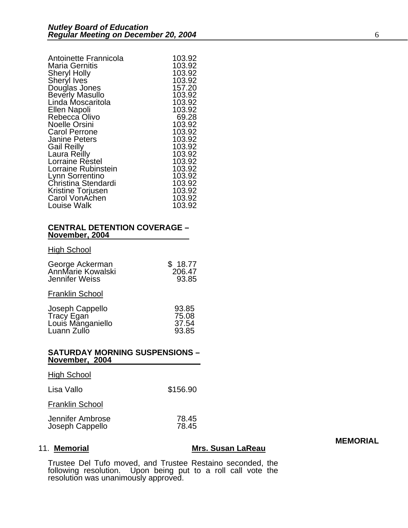| Antoinette Frannicola  | 103.92 |
|------------------------|--------|
| <b>Maria Gernitis</b>  | 103.92 |
| <b>Sheryl Holly</b>    | 103.92 |
| Sheryl Ives            | 103.92 |
| Douglas Jones          | 157.20 |
| <b>Beverly Masullo</b> | 103.92 |
| Linda Moscaritola      | 103.92 |
| Ellen Napoli           | 103.92 |
| Rebecca Olivo          | 69.28  |
| <b>Noelle Orsini</b>   | 103.92 |
| <b>Carol Perrone</b>   | 103.92 |
| <b>Janine Peters</b>   | 103.92 |
| <b>Gail Reilly</b>     | 103.92 |
| Laura Reilly           | 103.92 |
| Lorraine Réstel        | 103.92 |
| Lorraine Rubinstein    | 103.92 |
| Lynn Sorrentino        | 103.92 |
| Christina Stendardi    | 103.92 |
| Kristine Torjusen      | 103.92 |
| Carol VonAchen         | 103.92 |
| Louise Walk            | 103.92 |

#### **CENTRAL DETENTION COVERAGE – November, 2004**

#### **High School**

| George Ackerman   | \$18.77 |
|-------------------|---------|
| AnnMarie Kowalski | 206.47  |
| Jennifer Weiss    | 93.85   |

Franklin School

#### **SATURDAY MORNING SUSPENSIONS – November, 2004**

| <b>High School</b>                  |                |
|-------------------------------------|----------------|
| Lisa Vallo                          | \$156.90       |
| <b>Franklin School</b>              |                |
| Jennifer Ambrose<br>Joseph Cappello | 78.45<br>78.45 |

## 11. **Memorial Mrs. Susan LaReau**

Trustee Del Tufo moved, and Trustee Restaino seconded, the following resolution. Upon being put to a roll call vote the<br>resolution was unanimously approved. **MEMORIAL**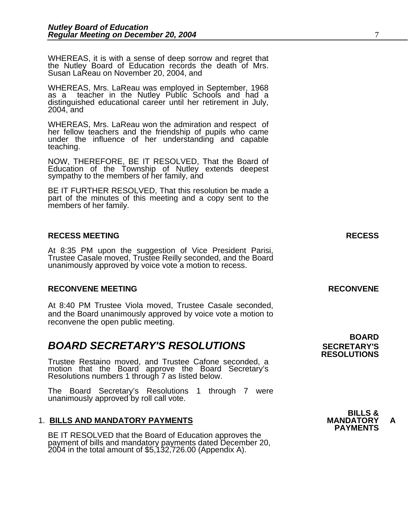WHEREAS, it is with a sense of deep sorrow and regret that the Nutley Board of Education records the death of Mrs. Susan LaReau on November 20, 2004, and

WHEREAS, Mrs. LaReau was employed in September, 1968 as a teacher in the Nutley Public Schools and had a distinguished educational career until her retirement in July, 2004, and

WHEREAS, Mrs. LaReau won the admiration and respect of her fellow teachers and the friendship of pupils who came under the influence of her understanding and capable teaching.

NOW, THEREFORE, BE IT RESOLVED, That the Board of Education of the Township of Nutley extends deepest sympathy to the members of her family, and

BE IT FURTHER RESOLVED, That this resolution be made a part of the minutes of this meeting and a copy sent to the members of her family.

### **RECESS MEETING RECESS**

At 8:35 PM upon the suggestion of Vice President Parisi, Trustee Casale moved, Trustee Reilly seconded, and the Board unanimously approved by voice vote a motion to recess.

### **RECONVENE MEETING RECONVENE**

At 8:40 PM Trustee Viola moved, Trustee Casale seconded, and the Board unanimously approved by voice vote a motion to reconvene the open public meeting.

## **BOARD SECRETARY'S RESOLUTIONS** SECRETARY'S

Trustee Restaino moved, and Trustee Cafone seconded, a motion that the Board approve the Board Secretary's Resolutions numbers 1 through 7 as listed below.

The Board Secretary's Resolutions 1 through 7 were unanimously approved by roll call vote.

1. BILLS AND MANDATORY PAYMENTS<br>BE IT RESOLVED that the Board of Education approves the **PAYMENTS** payment of bills and mandatory payments dated December 20, 2004 in the total amount of \$5,132,726.00 (Appendix A).

 **BOARD RESOLUTIONS** 

**BILLS &**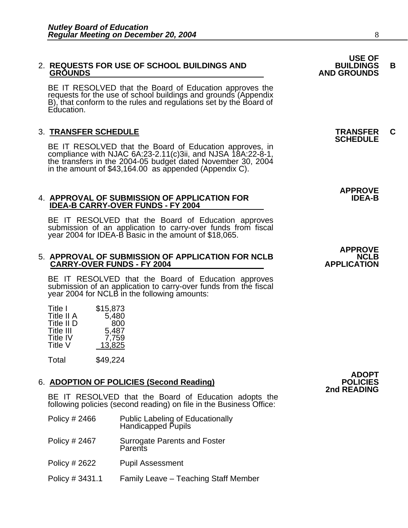# **USE OF**  2. **REQUESTS FOR USE OF SCHOOL BUILDINGS AND BUILDINGS B**

BE IT RESOLVED that the Board of Education approves the requests for the use of school buildings and grounds (Appendix B), that conform to the rules and regulations set by the Board of Education.

3. **TRANSFER SCHEDULE**<br>BE IT RESOLVED that the Board of Education approves, in **SCHEDULE** compliance with NJAC 6A:23-2.11(c)3ii, and NJSA 18A:22-8-1, the transfers in the 2004-05 budget dated November 30, 2004 in the amount of \$43,164.00 as appended (Appendix C).

#### **4. APPROVAL OF SUBMISSION OF APPLICATION FOR IDEA-B CARRY-OVER FUNDS - FY 2004**

BE IT RESOLVED that the Board of Education approves submission of an application to carry-over funds from fiscal year 2004 for IDEA-B Basic in the amount of \$18,065.

#### 5. APPROVAL OF SUBMISSION OF APPLICATION FOR NCLB<br>CARRY-OVER FUNDS - FY 2004 **CARRY-OVER FUNDS - FY 2004**

BE IT RESOLVED that the Board of Education approves submission of an application to carry-over funds from the fiscal year 2004 for NCLB in the following amounts:

| Title I         | \$15,873 |
|-----------------|----------|
| Title II A      | 5,480    |
| Title II D      | 800      |
| Title III       | 5,487    |
| <b>Title IV</b> | 7,759    |
| Title V         | 13,825   |

Total \$49,224

### 6. **ADOPTION OF POLICIES (Second Reading)**

BE IT RESOLVED that the Board of Education adopts the following policies (second reading) on file in the Business Office:

- Policy # 2466 Public Labeling of Educationally Handicapped Pupils
- Policy # 2467 Surrogate Parents and Foster **Parents**
- Policy # 2622 Pupil Assessment
- Policy # 3431.1 Family Leave Teaching Staff Member



**APPROVE** 

 **GROUNDS AND GROUNDS**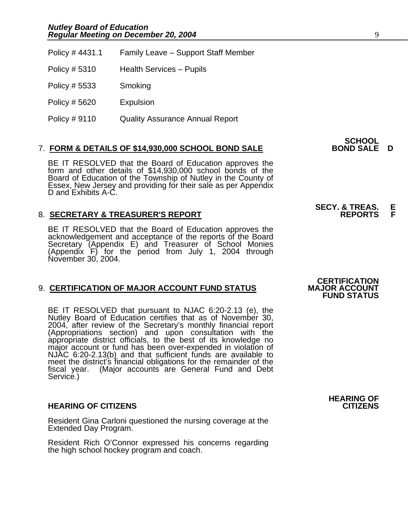| Policy #4431.1 | Family Leave - Support Staff Member    |
|----------------|----------------------------------------|
| Policy # 5310  | <b>Health Services - Pupils</b>        |
| Policy # 5533  | Smoking                                |
| Policy # 5620  | Expulsion                              |
| Policy # 9110  | <b>Quality Assurance Annual Report</b> |

### 7. **FORM & DETAILS OF \$14,930,000 SCHOOL BOND SALE BOND SALE D**

BE IT RESOLVED that the Board of Education approves the form and other details of \$14,930,000 school bonds of the Board of Education of the Township of Nutley in the County of Essex, New Jersey and providing for their sale as per Appendix D and Exhibits A-C.

### 8. **SECRETARY & TREASURER'S REPORT**

BE IT RESOLVED that the Board of Education approves the<br>acknowledgement and acceptance of the reports of the Board<br>Secretary (Appendix E) and Treasurer of School Monies (Appendix  $F$ ) for the period from July 1, 2004 through November 30, 2004.

### 9. **CERTIFICATION OF MAJOR ACCOUNT FUND STATUS**

BE IT RESOLVED that pursuant to NJAC 6:20-2.13 (e), the Nutley Board of Education certifies that as of November 30, 2004, after review of the Secretary's monthly financial report (Appropriations section) and upon consultation with the appropriate district officials, to the best of its knowledge no<br>major account or fund has been over-expended in violation of NJAC 6:20-2.13(b) and that sufficient funds are available to meet the district's financial obligations for the remainder of the fiscal year. (Major accounts are General Fund and Debt Service.)

### **HEARING OF CITIZENS CITIZENS**

Resident Gina Carloni questioned the nursing coverage at the Extended Day Program.

Resident Rich O'Connor expressed his concerns regarding the high school hockey program and coach.

**CERTIFICATION<br>MAJOR ACCOUNT FUND STATUS** 

**HEARING OF** 

**SCHOOL**<br>BOND SALE D

**SECY. & TREAS. E**